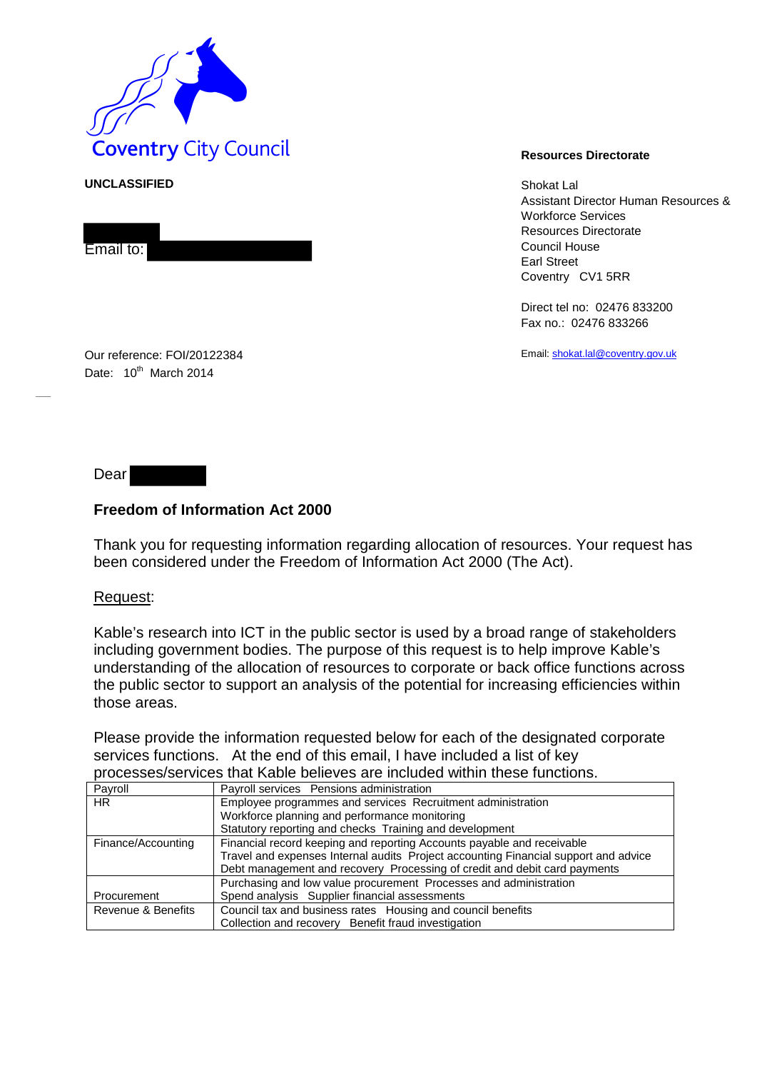

**UNCLASSIFIED** Shokat Lal Assistant Director Human Resources & Workforce Services Resources Directorate Council House Earl Street Coventry CV1 5RR

> Direct tel no: 02476 833200 Fax no.: 02476 833266

Email[: shokat.lal@coventry.gov.uk](mailto:shokat.lal@coventry.gov.uk)

Our reference: FOI/20122384 Date: 10<sup>th</sup> March 2014

Dear

Email to:

## **Freedom of Information Act 2000**

Thank you for requesting information regarding allocation of resources. Your request has been considered under the Freedom of Information Act 2000 (The Act).

## Request:

Kable's research into ICT in the public sector is used by a broad range of stakeholders including government bodies. The purpose of this request is to help improve Kable's understanding of the allocation of resources to corporate or back office functions across the public sector to support an analysis of the potential for increasing efficiencies within those areas.

Please provide the information requested below for each of the designated corporate services functions. At the end of this email, I have included a list of key processes/services that Kable believes are included within these functions.

| Payroll            | Payroll services Pensions administration                                            |  |  |  |  |  |  |
|--------------------|-------------------------------------------------------------------------------------|--|--|--|--|--|--|
| HR.                | Employee programmes and services Recruitment administration                         |  |  |  |  |  |  |
|                    | Workforce planning and performance monitoring                                       |  |  |  |  |  |  |
|                    | Statutory reporting and checks Training and development                             |  |  |  |  |  |  |
| Finance/Accounting | Financial record keeping and reporting Accounts payable and receivable              |  |  |  |  |  |  |
|                    | Travel and expenses Internal audits Project accounting Financial support and advice |  |  |  |  |  |  |
|                    | Debt management and recovery Processing of credit and debit card payments           |  |  |  |  |  |  |
|                    | Purchasing and low value procurement Processes and administration                   |  |  |  |  |  |  |
| Procurement        | Spend analysis Supplier financial assessments                                       |  |  |  |  |  |  |
| Revenue & Benefits | Council tax and business rates Housing and council benefits                         |  |  |  |  |  |  |
|                    | Collection and recovery Benefit fraud investigation                                 |  |  |  |  |  |  |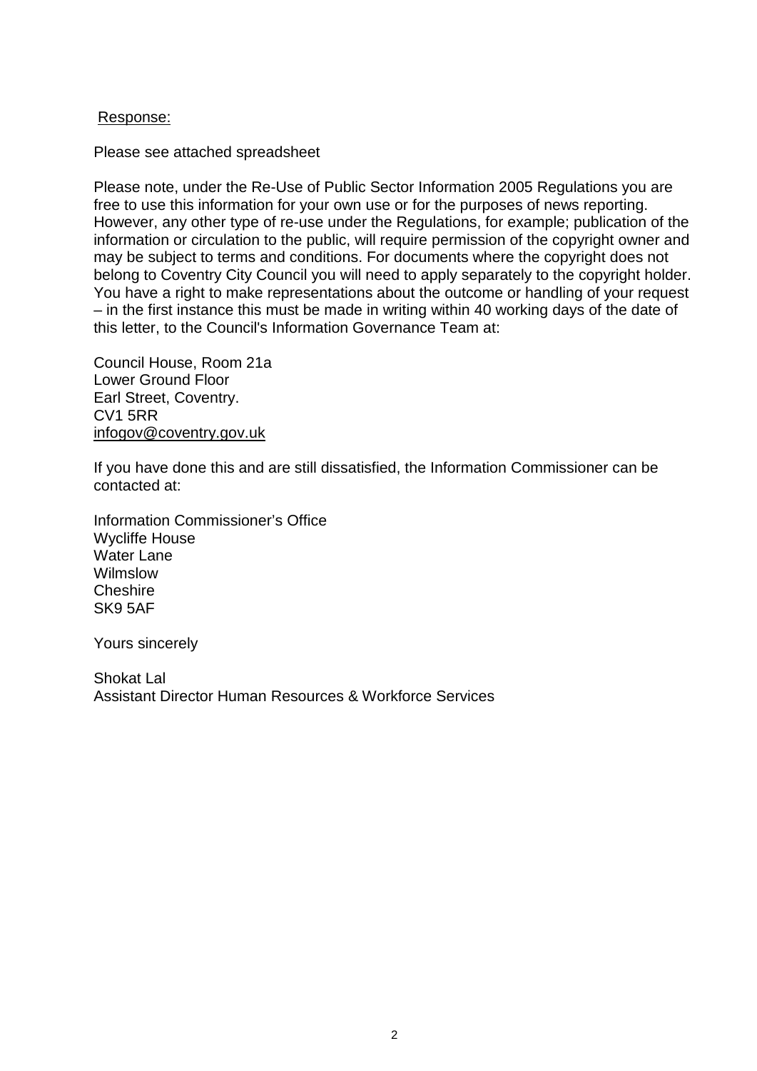## Response:

Please see attached spreadsheet

Please note, under the Re-Use of Public Sector Information 2005 Regulations you are free to use this information for your own use or for the purposes of news reporting. However, any other type of re-use under the Regulations, for example; publication of the information or circulation to the public, will require permission of the copyright owner and may be subject to terms and conditions. For documents where the copyright does not belong to Coventry City Council you will need to apply separately to the copyright holder. You have a right to make representations about the outcome or handling of your request – in the first instance this must be made in writing within 40 working days of the date of this letter, to the Council's Information Governance Team at:

Council House, Room 21a Lower Ground Floor Earl Street, Coventry. CV1 5RR [infogov@coventry.gov.uk](mailto:infogov@coventry.gov.uk)

If you have done this and are still dissatisfied, the Information Commissioner can be contacted at:

Information Commissioner's Office Wycliffe House Water Lane Wilmslow **Cheshire** SK9 5AF

Yours sincerely

Shokat Lal Assistant Director Human Resources & Workforce Services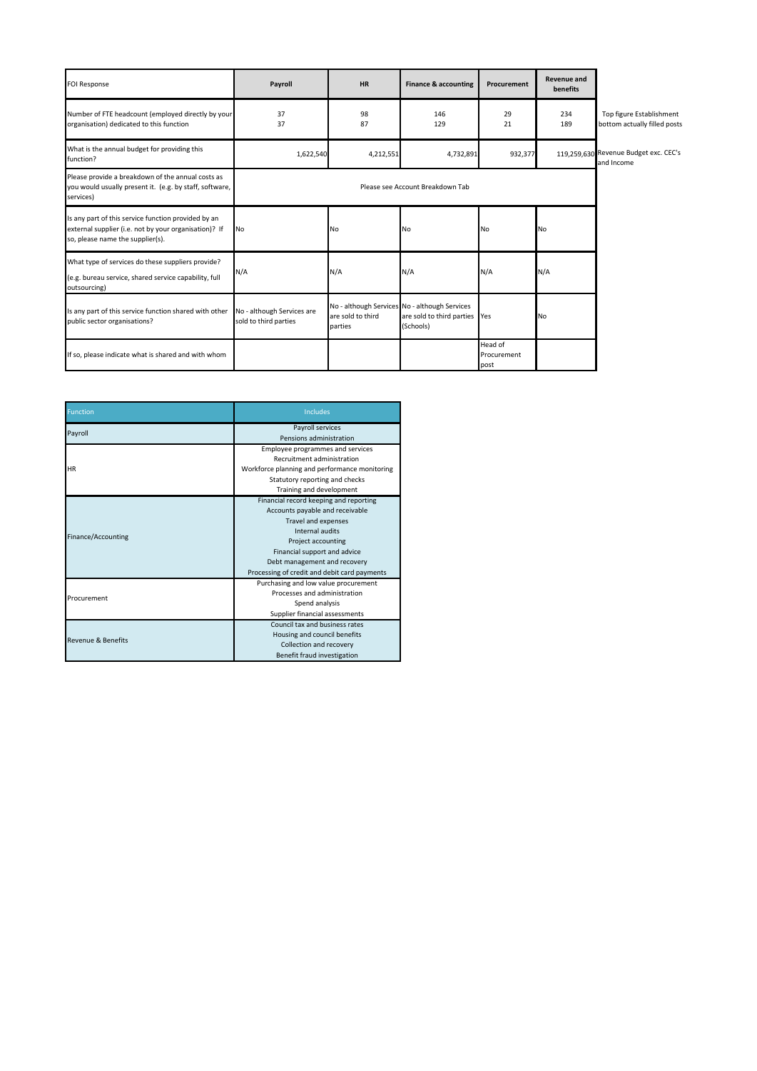| <b>FOI Response</b>                                                                                                                              | Payroll                                             | <b>HR</b>                    | <b>Finance &amp; accounting</b>                                                             | Procurement                    | <b>Revenue and</b><br>benefits |                                                          |
|--------------------------------------------------------------------------------------------------------------------------------------------------|-----------------------------------------------------|------------------------------|---------------------------------------------------------------------------------------------|--------------------------------|--------------------------------|----------------------------------------------------------|
| Number of FTE headcount (employed directly by your<br>organisation) dedicated to this function                                                   | 37<br>37                                            | 98<br>87                     | 146<br>129                                                                                  | 29<br>21                       | 234<br>189                     | Top figure Establishment<br>bottom actually filled posts |
| What is the annual budget for providing this<br>function?                                                                                        | 1,622,540                                           | 4,212,551                    | 4,732,891                                                                                   | 932,377                        |                                | 119,259,630 Revenue Budget exc. CEC's<br>and Income      |
| Please provide a breakdown of the annual costs as<br>you would usually present it. (e.g. by staff, software,<br>services)                        |                                                     |                              |                                                                                             |                                |                                |                                                          |
| Is any part of this service function provided by an<br>external supplier (i.e. not by your organisation)? If<br>so, please name the supplier(s). | <b>No</b>                                           | No                           | No                                                                                          | No                             | No                             |                                                          |
| What type of services do these suppliers provide?<br>(e.g. bureau service, shared service capability, full<br>outsourcing)                       | N/A                                                 | N/A                          | N/A                                                                                         | N/A                            | N/A                            |                                                          |
| Is any part of this service function shared with other<br>public sector organisations?                                                           | No - although Services are<br>sold to third parties | are sold to third<br>parties | No - although Services No - although Services<br>are sold to third parties Yes<br>(Schools) |                                | No                             |                                                          |
| If so, please indicate what is shared and with whom                                                                                              |                                                     |                              |                                                                                             | Head of<br>Procurement<br>post |                                |                                                          |

| <b>Function</b>               | <b>Includes</b>                               |  |  |  |
|-------------------------------|-----------------------------------------------|--|--|--|
| Payroll                       | Payroll services                              |  |  |  |
|                               | Pensions administration                       |  |  |  |
|                               | Employee programmes and services              |  |  |  |
|                               | Recruitment administration                    |  |  |  |
| <b>HR</b>                     | Workforce planning and performance monitoring |  |  |  |
|                               | Statutory reporting and checks                |  |  |  |
|                               | Training and development                      |  |  |  |
|                               | Financial record keeping and reporting        |  |  |  |
|                               | Accounts payable and receivable               |  |  |  |
|                               | Travel and expenses                           |  |  |  |
| Finance/Accounting            | Internal audits                               |  |  |  |
|                               | Project accounting                            |  |  |  |
|                               | Financial support and advice                  |  |  |  |
|                               | Debt management and recovery                  |  |  |  |
|                               | Processing of credit and debit card payments  |  |  |  |
|                               | Purchasing and low value procurement          |  |  |  |
| Procurement                   | Processes and administration                  |  |  |  |
|                               | Spend analysis                                |  |  |  |
|                               | Supplier financial assessments                |  |  |  |
|                               | Council tax and business rates                |  |  |  |
| <b>Revenue &amp; Benefits</b> | Housing and council benefits                  |  |  |  |
|                               | Collection and recovery                       |  |  |  |
|                               | Benefit fraud investigation                   |  |  |  |